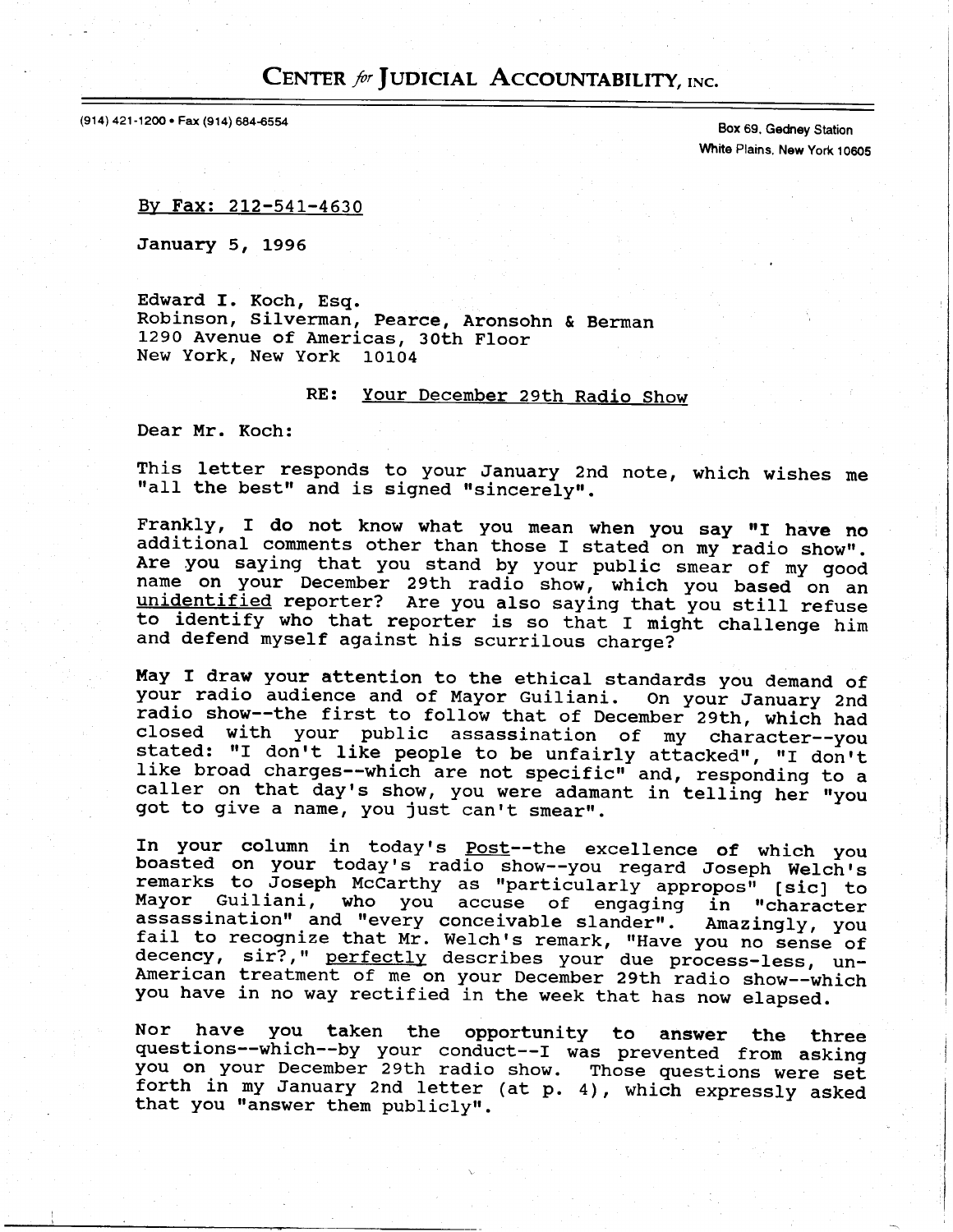## CENTER for JUDICIAL ACCOUNTABILITY, INC.

(914) 421-1200 · Fax (914) 684-6554

Box 69, Gedrey Station White Plains, New York 10605

By Fax: 212-541-4630

January 5, 1995

Edward f. Koch, Esq. Robinson, Silverman, Pearce, Aronsohn & Berman L29O Avenue of Americas, 30th Floor New York, New York 10104

## RE: Your December 29th Radio Show

Dear Mr. Koch:

This letter responds to your January 2nd note, which wishes me<br>"all the best" and is signed "sincerely".

Frankly, I do not know what you mean when you say "I have no additional comments other than those I stated on my radio show". Are you saying that you stand by your public smear of my good name on your December 29th radio show, which you based on an unidentified reporter? Are you also saying that you still refuse to identify who that reporter is so that I might challenge him and defend myself against his scurrilous charge?

May I draw your attention to the ethical standards you demand of your radio audience and of Mayor Guiliani. On your January 2nd radio show--the first to follow that of December 29th, which had public assassination of my character--y stated: "I don't like people to be unfairly attacked", "I don't like broad charges--which are not specific" and, responding to a caller on that day's show, you were adamant in telling her "you got to give a name, you just can't smear".

In your column in today's Post--the excellence of which you<br>boasted on your today's radio show--you regard Joseph Welch's remarks to Joseph McCarthy as "particularly appropos" [sic] to<br>Mayor Guiliani, who you accuse of engaging in "character assassination" and "every conceivable slander". Amazingly, yo decency, and "every conceivable slander". Amazingly, you<br>fail to recognize that Mr. Welch's remark, "Have you no sense of<br>decency, sir?," perfectly describes your due process-less, un-<br>American treatment of me on your Dece you have in no way rectified in the week that has now elapsed.

Nor have you taken the opportunity to answer the thre<br>questions--which--by your conduct--I was prevented from askin you on your December 29th radio show. Those questions were set forth in my January 2nd letter (at p. 4), which expressly asked that you "answer them publicly".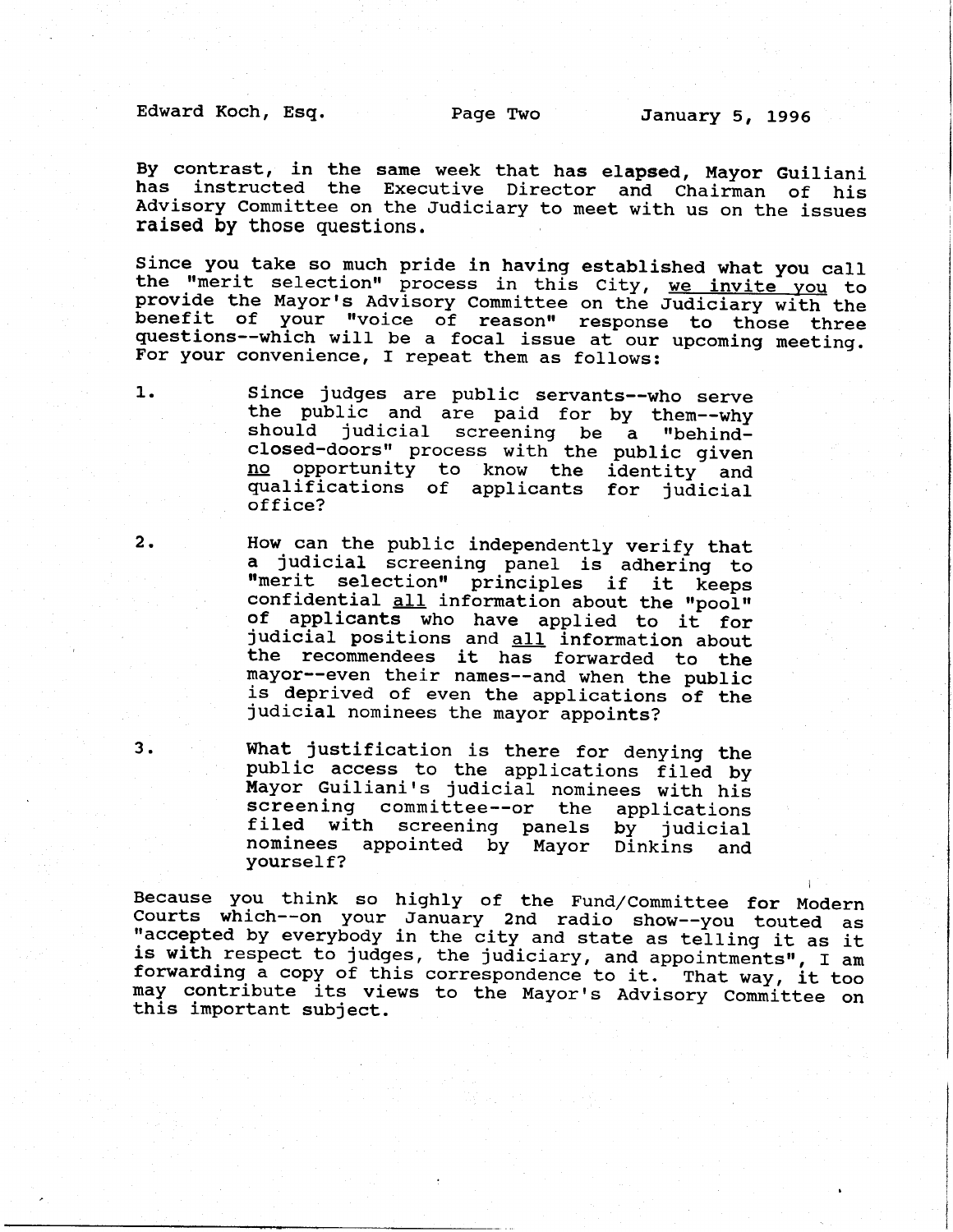Edward Koch, Esg. Page Two January 5, 1996

By contrast, in the same week that has elapsed, Mayor Guiliani has instructed the Executive Director ana Chairman of his Advisory Committee on the Judiciary to meet with us on the issues raised by those questions.

Since you take so much pride in having established what you call the "merit selection" process in this City, we invite you that<br>provide the Mayor's Advisory Committee on the Judiciary with the benefit of your "voice of reason" response to those three questions--which will be a focal issue at our upcoming meeting questions--which will be a focal issue at our upcoming meeting.<br>For your convenience, I repeat them as follows:

1. Since judges are public servants--who serve the public and are paid for by them--why should judicial screening be a "behindclosed-doors" process with the public given no <u>no</u> opportunity to know the identity a<br>qualifications of applicants for judici<br>office? opportunity to know the identity and

- 2. How can the public independently verify that<br>a judicial screening panel is adhering to "merit selection" principles if it keeps confidential all information about the "pool"<br>of applicants who have applied to it for judicial positions and all information about the reconmendees it has forwarded to the mayor--even their names--and when the public is deprived of even the applications of the<br>judicial nominees the mayor appoints?
- 3. What justification is there for denying the public access to the applications filed by Mayor Guiliani's judicial nominees with his screening committee--or the applications filed with screening panels by judicial nominees appointed by Mayor Oinkins and yourself?

Because you think so highly of the Fund/Committee for Modern<br>Courts which--on your January 2nd radio show--you touted as "accepted by everybody in the city and state as telling it as it<br>is with respect to judges, the judiciary, and appointments", I am<br>forwarding a copy of this correspondence to it. That way, it too<br>may contribute its views t